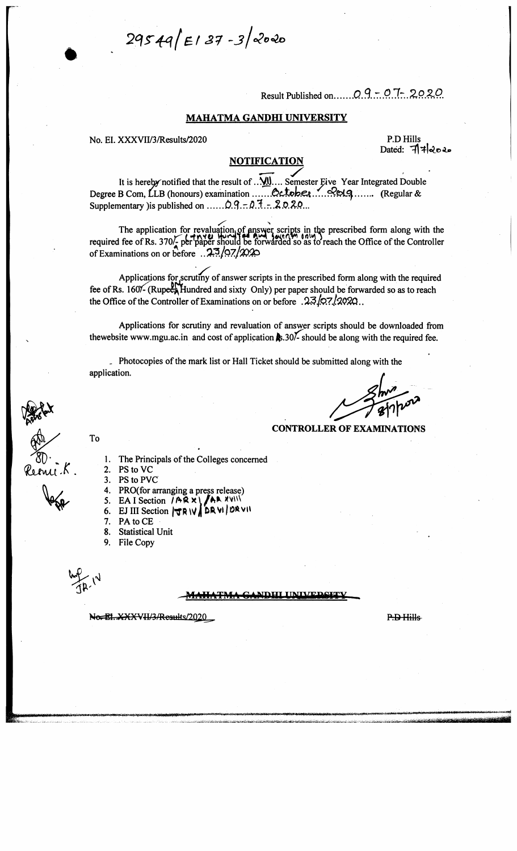$29549/E187 - 32000$ 

**Result Published on........***Q .S.* **.7. .Q .TV..**

#### MAHATMA GANDHI UNIVERSITY

**No. EI. XXXVII/3/Results/2020 P.D Hills**

**Dated:**

#### **NOTIFICATION**

 $\overline{M}$ **It is hereby notified that the result of ... YOU.... Semester Eive Yearly** Degree B Com, LLB (honours) examination .......QQQDRQ Supplementary ) is published on  $\ldots$   $\therefore$   $\mathcal{Q}$ ,  $\vdots$   $\mathcal{Q}$ ,  $\mathcal{I}$ ,  $\vdots$ ,  $\mathcal{Q}$ ,  $\mathcal{Q}$ ,  $\mathcal{Q}$ ,  $\ldots$ **Year Integrated Double .. (Regular &**

**The application for revaluation, of answer scripts in the prescribed form along with the** required fee of Rs. 370/<sub>2</sub> per paper should be forwarded so as to reach the Office of the Controller of Examinations on or before ... 23/97/2020

Applications for scrutiny of answer scripts in the prescribed form along with the required fee of Rs. 160<sup>%</sup>- (Rupees Hundred and sixty Only) per paper should be forwarded so as to reach the Office of the Controller of Examinations on or before . 23.07.2020.

**Applications for scrutiny and revaluation of answer scripts should be downloaded ffom** thewebsite [www.mgu.ac.in](http://www.mgu.ac.in) and cost of application  $\frac{1}{2}$ , 30<sup> $\frac{1}{2}$ </sup> should be along with the required fee.

**. Photocopies of the mark list or Hall Ticket should be submitted along with the application.**

#### **CONTROLLER OF EXAMINATIONS**

*n ® '* **\* »•** *VULtvOA^* **.**

- **2. PS to VC**
- 3. PS to PVC
- **4. PRO(for arranging a press release)**

**1. The Principals of the Colleges concemed**

- 5. EA I Section  $/$  **AR X** \  $/$  **AR** XVIII
- **6. EJ in Section f r R W j| DR VI / 0 » vh**
- **7. P A to C E**
- **8. Statistical Unit**
- **9. File Copy**

**To**

#### ^-MAHATMA GANDHI ITNI,VBlil»T Y ..

No. El. XXXVII/3/Results/2020

P.<del>D Hills</del>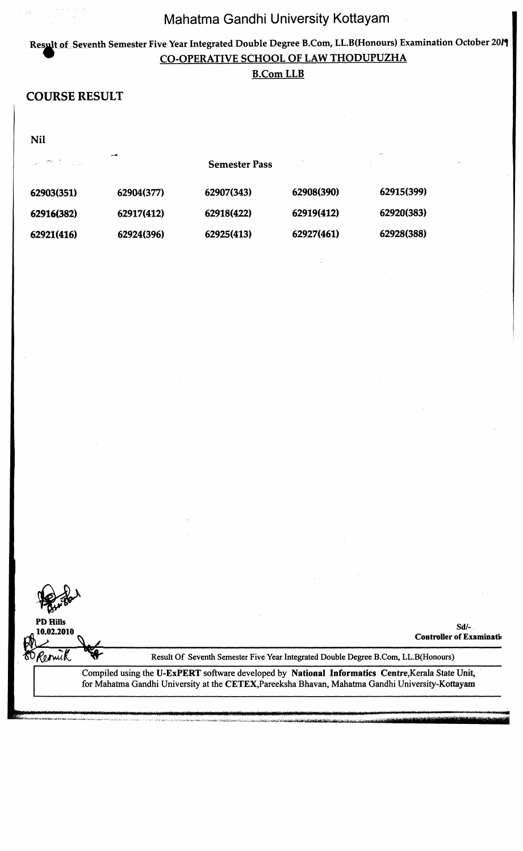### **Result of Seventh Semester Five Year Integrated Double Degree B.Com, LL.B(Honours) Examination October 20/1 • CO-OPERATIVE SCHOOL OF LAW THODUPUZHA**

#### **B.Com LLB**

### **COURSE RESULT**

**Nil**

| 그는 아빠 어머니는 것이 |            | <b>Semester Pass</b> |            |            |
|---------------|------------|----------------------|------------|------------|
| 62903(351)    | 62904(377) | 62907(343)           | 62908(390) | 62915(399) |
| 62916(382)    | 62917(412) | 62918(422)           | 62919(412) | 62920(383) |
| 62921(416)    | 62924(396) | 62925(413)           | 62927(461) | 62928(388) |

**PD Hills**

60 Resnick

**<sup>10</sup>**.**02.2010 Sd/- Controller of Examination** 

**I**

Result Of Seventh Semester Five Year Integrated Double Degree B.Com, LL-B(Honours)

Compiled using the U-ExPERT software developed by National Informatics Centre, Kerala State Unit, for Mahatma Gandhi University at the CETEX,Pareeksha Bhavan, Mahatma Gandhi University-Kottayam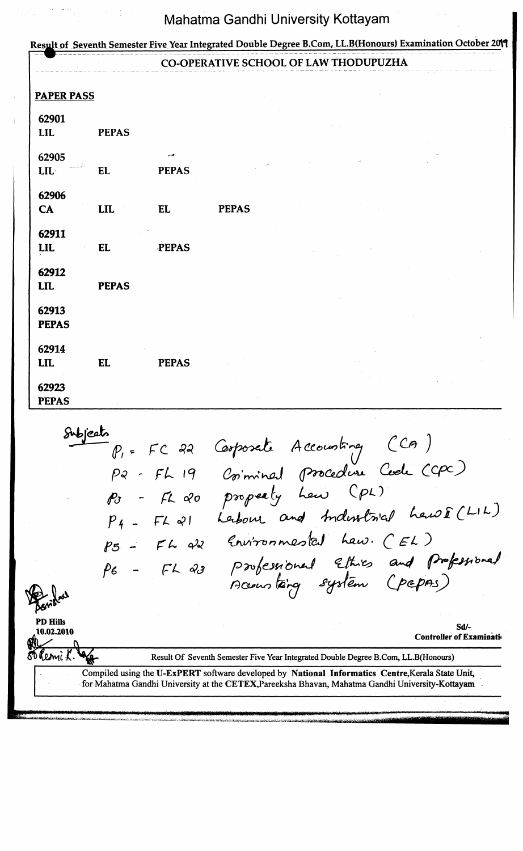|                       |              |              | CO-OPERATIVE SCHOOL OF LAW THODUPUZHA |  |  |
|-----------------------|--------------|--------------|---------------------------------------|--|--|
| <b>PAPER PASS</b>     |              |              |                                       |  |  |
| 62901<br><b>LIL</b>   | <b>PEPAS</b> |              |                                       |  |  |
| 62905<br>LIL          | <b>EL</b>    | <b>PEPAS</b> |                                       |  |  |
| 62906<br>CA           | <b>LIL</b>   | <b>EL</b>    | <b>PEPAS</b>                          |  |  |
| 62911<br><b>LIL</b>   | EL           | <b>PEPAS</b> |                                       |  |  |
| 62912<br><b>LIL</b>   | <b>PEPAS</b> |              |                                       |  |  |
| 62913<br><b>PEPAS</b> |              |              |                                       |  |  |
| 62914<br><b>LIL</b>   | <b>EL</b>    | <b>PEPAS</b> |                                       |  |  |
| 62923<br><b>PEPAS</b> |              |              |                                       |  |  |

*P,-* **fC** *p* **■?** *- F L* **i <?** *fb - FL <#o* - *Ft- 41 PS - FF f> 6 - f l 4 a ( p n & J c M J - (U A l- C c p ^ 3* hew Y<sup>L</sup> Leibour and maissings can the *£t\i/iirü n pvkQso i& J bl-oO* **•** *£ L D C & U S) l& r& j* **PD Hills 10**.**02.2010 Sd/- Controller of Examinati<**

**f c 7 r .y**

Result Of Seventh Semester Five Year Integrated Double Degree B.Com, LL.B(Honours)

Compiled using the U-ExPERT software developed by National Informatics Centre, Kerala State Unit, for Mahatma Gandhi University at the CETEX,Pareeksha Bhavan, Mahatma Gandhi University-Kottayam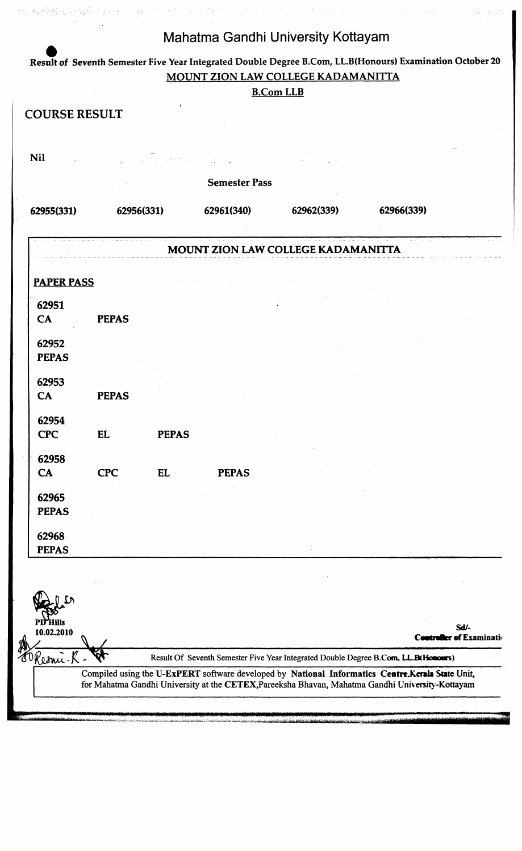**Result of Seventh Semester Five Year Integrated Double Degree B.Com, LL.B(Honours) Examination October 20 MOUNT ZION LAW COLLEGE KADAMAN1TTA**

|                      |                                                         |                            | <b>B.Com LLB</b> |                      |                                    |
|----------------------|---------------------------------------------------------|----------------------------|------------------|----------------------|------------------------------------|
| <b>COURSE RESULT</b> |                                                         |                            |                  |                      |                                    |
|                      |                                                         |                            |                  |                      |                                    |
|                      |                                                         |                            |                  |                      |                                    |
|                      |                                                         |                            |                  |                      |                                    |
|                      |                                                         | 62961(340)                 | 62962(339)       | 62966(339)           |                                    |
|                      |                                                         |                            |                  |                      |                                    |
|                      |                                                         |                            |                  |                      |                                    |
|                      |                                                         |                            |                  |                      |                                    |
|                      |                                                         |                            |                  |                      |                                    |
|                      |                                                         |                            |                  |                      |                                    |
|                      |                                                         |                            |                  |                      |                                    |
|                      |                                                         |                            |                  |                      |                                    |
|                      |                                                         |                            |                  |                      |                                    |
|                      | EL                                                      | <b>PEPAS</b>               |                  |                      |                                    |
|                      |                                                         |                            |                  |                      |                                    |
|                      |                                                         |                            |                  |                      |                                    |
|                      | <b>PEPAS</b><br><b>PEPAS</b><br><b>EL</b><br><b>CPC</b> | 62956(331)<br><b>PEPAS</b> |                  | <b>Semester Pass</b> | MOUNT ZION LAW COLLEGE KADAMANITTA |

నేరో  $_{0.02,2010}$  Sd<sup>1</sup>-<br>10.02.2010 ^ **Sd Controller of Examination** ć, Result Of Seventh Semester Five Year Integrated Double Degree B.Com, LL.B(Honours) Keomi. Compiled using the U-ExPERT software developed by National Informatics Centre.Kerala State Unit, **for Mahatma Gandhi University at the CETEX,Pareeksha Bhavan, Mahatma Gandhi University-Kottayam s a**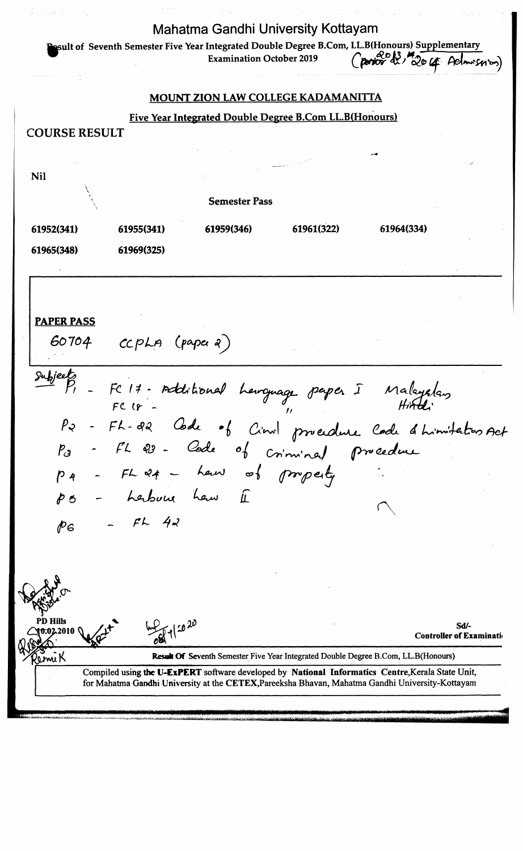**Mahatma Gandhi University Kottayam** mit of Seventh Semester Five Year **Integrated Double Degree B.Com,** LL.B(Honours) Supplementary **Examination October 2019 MOUNT ZION LAW COLLEGE KADAMANITTA Five Year Integrated Double Degree B.Com LL.B(Honours) COURSERESULT Nil**  $\bigwedge$ **Semester Pass 61952(341) 61955(341) 61959(346) 61961(322) 61964(334) 61965(348) 61969(325) PAPER PASS** *S ö j ö j - c c p L n C (>\*pe< ~ 1 1* **-** *F~C f \$ ~ fa& IcLi P l* <u>bout</u> of Cinil procedure Code a himitation *P L* **-** *& L* 0 **/** *P 3 fU oQsf* **— op/** *( p ^ P ^ k j P 4 p9% jou l\*.K PßiMl* **/L** *< P ö*  $\mathfrak{f}$ **-** *F L -* PG PD Hills **Sd/- 2010 Controller of Examinatii**  $\frac{1}{2}$   $\frac{1}{2}$   $\frac{1}{2}$   $\frac{1}{2}$   $\frac{1}{2}$   $\frac{1}{2}$   $\frac{1}{2}$   $\frac{1}{2}$   $\frac{1}{2}$   $\frac{1}{2}$   $\frac{1}{2}$   $\frac{1}{2}$   $\frac{1}{2}$   $\frac{1}{2}$   $\frac{1}{2}$   $\frac{1}{2}$   $\frac{1}{2}$   $\frac{1}{2}$   $\frac{1}{2}$   $\frac{1}{2}$   $\frac{1}{2}$   $\frac{1}{2}$  Result Of Seventh Semester Five Year Integrated Double Degree B.Com, LL.B(Honours) miK Compiled using the U-ExPERT software developed by National Informatics Centre, Kerala State Unit, **for Mahatma Gandhi University at the CETEX,Pareeksha Bhavan, Mahatma Gandhi University-Kottayam**

■ ■ . *<-.±=r- m*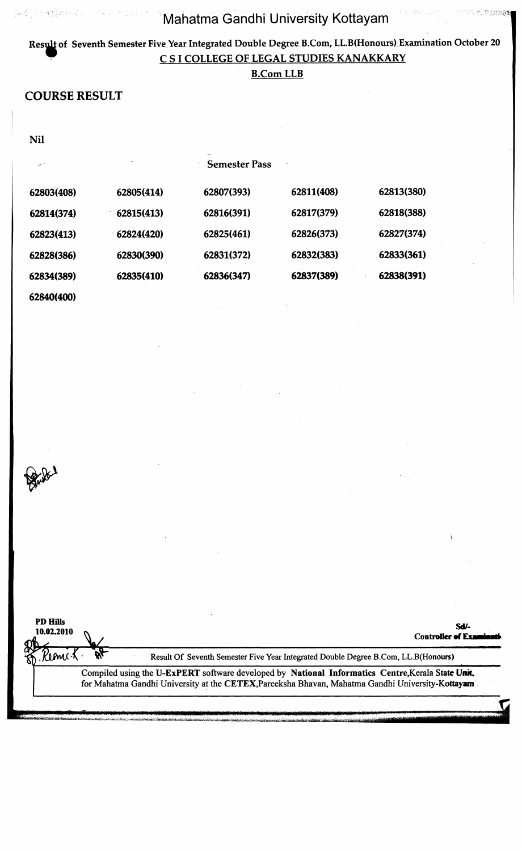t varses

### **of Seventh Semester Five Year Integrated Double Degree B.Com, LL.B(Honours) Examination October 20 C S I COLLEGE OF LEGAL STUDIES KANAKKARY**

#### **B.Com LLB**

### **COURSE RESULT**

"国家和安全服务

ARCOURSE AND THE

**Nil** 

Buller 1

| المتحاض    |            | <b>Semester Pass</b> |            |            |  |
|------------|------------|----------------------|------------|------------|--|
| 62803(408) | 62805(414) | 62807(393)           | 62811(408) | 62813(380) |  |
| 62814(374) | 62815(413) | 62816(391)           | 62817(379) | 62818(388) |  |
| 62823(413) | 62824(420) | 62825(461)           | 62826(373) | 62827(374) |  |
| 62828(386) | 62830(390) | 62831(372)           | 62832(383) | 62833(361) |  |
| 62834(389) | 62835(410) | 62836(347)           | 62837(389) | 62838(391) |  |
| 62840(400) |            |                      |            |            |  |

| <b>PD Hills</b><br>10.02.2010 |  | Sdi-<br><b>Controller of Exam</b>                                                                                                                                                                     |
|-------------------------------|--|-------------------------------------------------------------------------------------------------------------------------------------------------------------------------------------------------------|
|                               |  | Result Of Seventh Semester Five Year Integrated Double Degree B.Com, LL.B(Honours)                                                                                                                    |
|                               |  | Compiled using the U-ExPERT software developed by National Informatics Centre, Kerala State Unit.<br>for Mahatma Gandhi University at the CETEX, Pareeksha Bhavan, Mahatma Gandhi University-Kottayam |
|                               |  |                                                                                                                                                                                                       |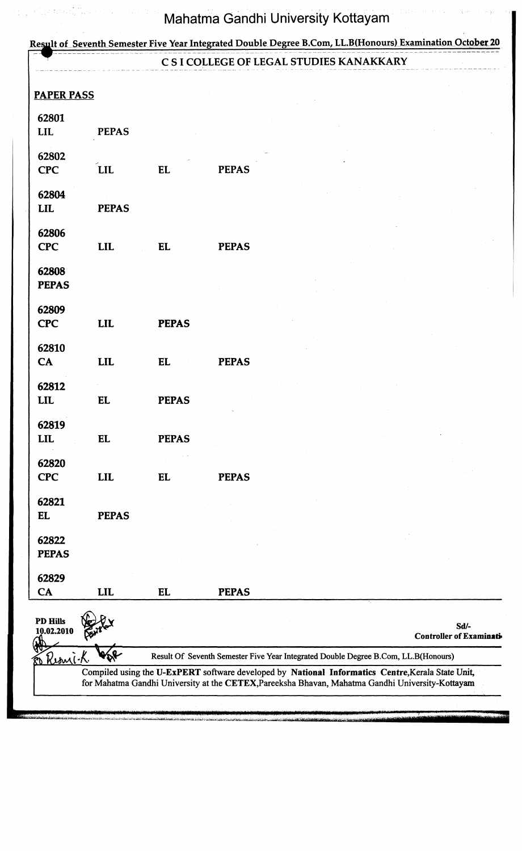# Result of Seventh Semester Five Year Integrated Double Degree B.Com, LL.B(Honours) Examination October 20 **C S I COLLEGE OF LEGAL STUDIES KANAKKARY PAPER PASS 62801 LIL PEPAS 62802 CPC LIL EL PEPAS 62804 LIL PEPAS 62806 CPC LIL EL PEPAS 62808 PEPAS 62809 CPC LIL PEPAS 62810 CA LIL EL PEPAS 62812 LIL EL PEPAS 62819 LIL EL PEPAS 62820 CPC LIL EL PEPAS 62821 EL PEPAS 62822 PEPAS 62829 CA LIL EL PEPAS PD Hills** 10.02.2010 **Sd<sup>1</sup>**<br>10.02.2010 **Sd<sup>1</sup> Controller of Examinat»** Kb Result Of Seventh Semester Five Year Integrated Double Degree B.Com, LL.B(Honours)  $\mathcal{R}_{1}$ Compiled using the U-ExPERT software developed by National Informatics Centre, Kerala State Unit, for Mahatma Gandhi University at the CETEX,Pareeksha Bhavan, Mahatma Gandhi University-Kottayam